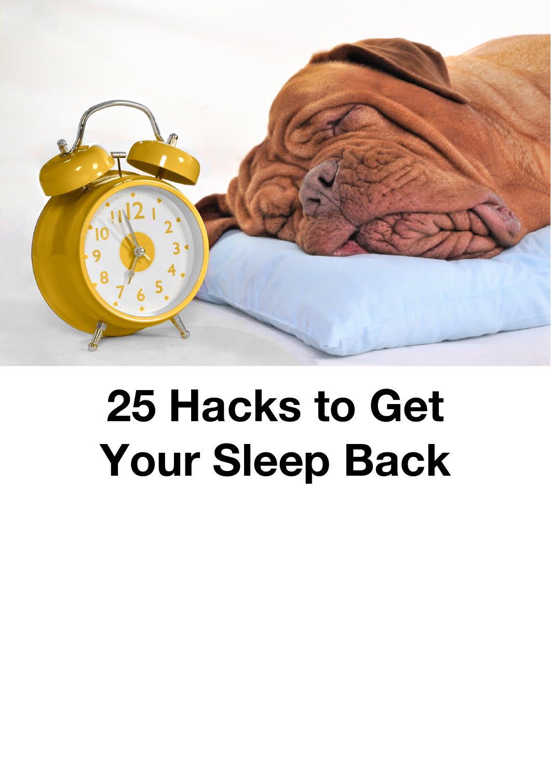

# **25 Hacks to Get Your Sleep Back**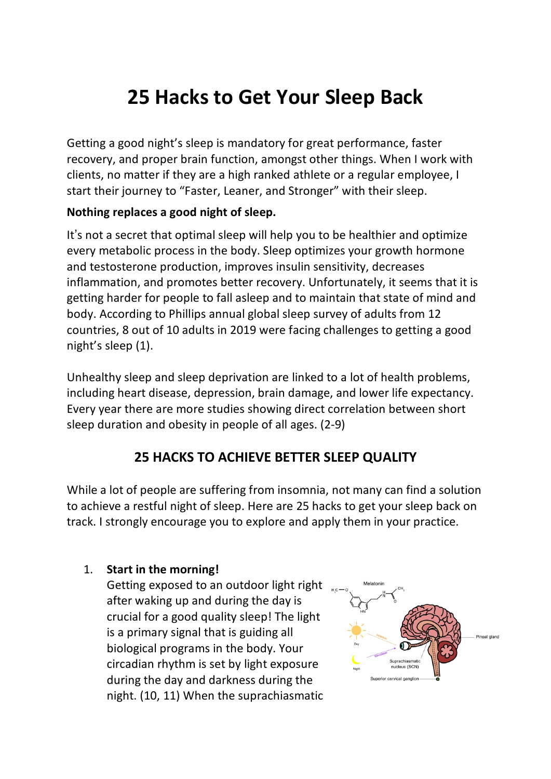# **25 Hacks to Get Your Sleep Back**

Getting a good night's sleep is mandatory for great performance, faster recovery, and proper brain function, amongst other things. When I work with clients, no matter if they are a high ranked athlete or a regular employee, I start their journey to "Faster, Leaner, and Stronger" with their sleep.

#### **Nothing replaces a good night of sleep.**

It's not a secret that optimal sleep will help you to be healthier and optimize every metabolic process in the body. Sleep optimizes your growth hormone and testosterone production, improves insulin sensitivity, decreases inflammation, and promotes better recovery. Unfortunately, it seems that it is getting harder for people to fall asleep and to maintain that state of mind and body. According to Phillips annual global sleep survey of adults from 12 countries, 8 out of 10 adults in 2019 were facing challenges to getting a good night's sleep (1).

Unhealthy sleep and sleep deprivation are linked to a lot of health problems, including heart disease, depression, brain damage, and lower life expectancy. Every year there are more studies showing direct correlation between short sleep duration and obesity in people of all ages. (2-9)

# **25 HACKS TO ACHIEVE BETTER SLEEP QUALITY**

While a lot of people are suffering from insomnia, not many can find a solution to achieve a restful night of sleep. Here are 25 hacks to get your sleep back on track. I strongly encourage you to explore and apply them in your practice.

## 1. **Start in the morning!**

Getting exposed to an outdoor light right after waking up and during the day is crucial for a good quality sleep! The light is a primary signal that is guiding all biological programs in the body. Your circadian rhythm is set by light exposure during the day and darkness during the night. (10, 11) When the suprachiasmatic

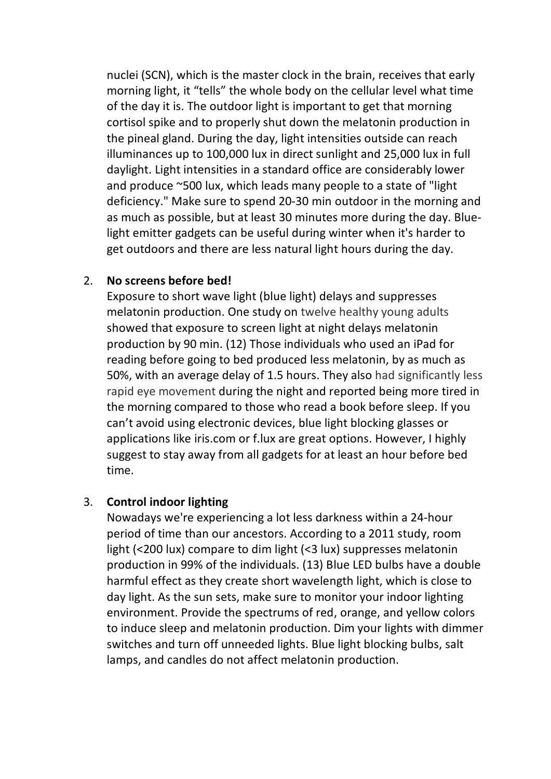nuclei (SCN), which is the master clock in the brain, receives that early morning light, it "tells" the whole body on the cellular level what time of the day it is. The outdoor light is important to get that morning cortisol spike and to properly shut down the melatonin production in the pineal gland. During the day, light intensities outside can reach illuminances up to 100,000 lux in direct sunlight and 25,000 lux in full daylight. Light intensities in a standard office are considerably lower and produce ~500 lux, which leads many people to a state of "light deficiency." Make sure to spend 20-30 min outdoor in the morning and as much as possible, but at least 30 minutes more during the day. Bluelight emitter gadgets can be useful during winter when it's harder to get outdoors and there are less natural light hours during the day.

#### 2. **No screens before bed!**

Exposure to short wave light (blue light) delays and suppresses melatonin production. One study on twelve healthy young adults showed that exposure to screen light at night delays melatonin production by 90 min. (12) Those individuals who used an iPad for reading before going to bed produced less melatonin, by as much as 50%, with an average delay of 1.5 hours. They also had significantly less rapid eye movement during the night and reported being more tired in the morning compared to those who read a book before sleep. If you can't avoid using electronic devices, blue light blocking glasses or applications like iris.com or f.lux are great options. However, I highly suggest to stay away from all gadgets for at least an hour before bed time.

#### 3. **Control indoor lighting**

Nowadays we're experiencing a lot less darkness within a 24-hour period of time than our ancestors. According to a 2011 study, room light (<200 lux) compare to dim light (<3 lux) suppresses melatonin production in 99% of the individuals. (13) Blue LED bulbs have a double harmful effect as they create short wavelength light, which is close to day light. As the sun sets, make sure to monitor your indoor lighting environment. Provide the spectrums of red, orange, and yellow colors to induce sleep and melatonin production. Dim your lights with dimmer switches and turn off unneeded lights. Blue light blocking bulbs, salt lamps, and candles do not affect melatonin production.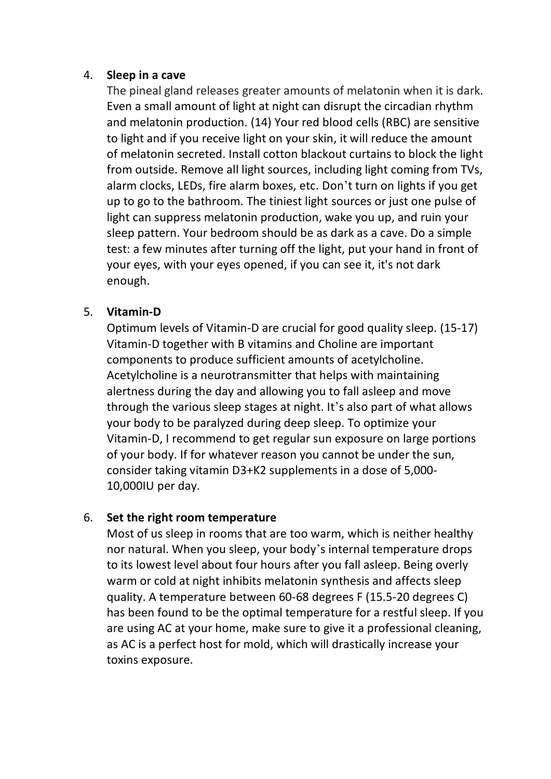#### 4. **Sleep in a cave**

The pineal gland releases greater amounts of melatonin when it is dark. Even a small amount of light at night can disrupt the circadian rhythm and melatonin production. (14) Your red blood cells (RBC) are sensitive to light and if you receive light on your skin, it will reduce the amount of melatonin secreted. Install cotton blackout curtains to block the light from outside. Remove all light sources, including light coming from TVs, alarm clocks, LEDs, fire alarm boxes, etc. Don't turn on lights if you get up to go to the bathroom. The tiniest light sources or just one pulse of light can suppress melatonin production, wake you up, and ruin your sleep pattern. Your bedroom should be as dark as a cave. Do a simple test: a few minutes after turning off the light, put your hand in front of your eyes, with your eyes opened, if you can see it, it's not dark enough.

#### 5. **Vitamin-D**

Optimum levels of Vitamin-D are crucial for good quality sleep. (15-17) Vitamin-D together with B vitamins and Choline are important components to produce sufficient amounts of acetylcholine. Acetylcholine is a neurotransmitter that helps with maintaining alertness during the day and allowing you to fall asleep and move through the various sleep stages at night. It's also part of what allows your body to be paralyzed during deep sleep. To optimize your Vitamin-D, I recommend to get regular sun exposure on large portions of your body. If for whatever reason you cannot be under the sun, consider taking vitamin D3+K2 supplements in a dose of 5,000- 10,000IU per day.

#### 6. **Set the right room temperature**

Most of us sleep in rooms that are too warm, which is neither healthy nor natural. When you sleep, your body's internal temperature drops to its lowest level about four hours after you fall asleep. Being overly warm or cold at night inhibits melatonin synthesis and affects sleep quality. A temperature between 60-68 degrees F (15.5-20 degrees C) has been found to be the optimal temperature for a restful sleep. If you are using AC at your home, make sure to give it a professional cleaning, as AC is a perfect host for mold, which will drastically increase your toxins exposure.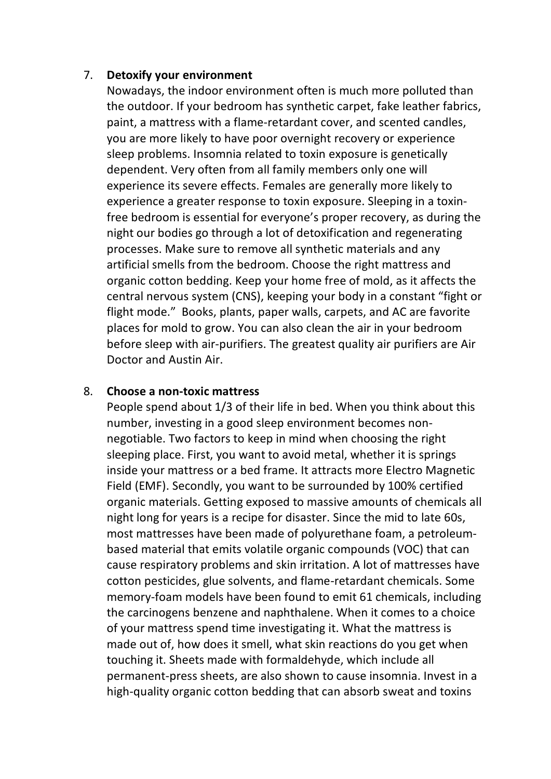#### 7. **Detoxify your environment**

Nowadays, the indoor environment often is much more polluted than the outdoor. If your bedroom has synthetic carpet, fake leather fabrics, paint, a mattress with a flame-retardant cover, and scented candles, you are more likely to have poor overnight recovery or experience sleep problems. Insomnia related to toxin exposure is genetically dependent. Very often from all family members only one will experience its severe effects. Females are generally more likely to experience a greater response to toxin exposure. Sleeping in a toxinfree bedroom is essential for everyone's proper recovery, as during the night our bodies go through a lot of detoxification and regenerating processes. Make sure to remove all synthetic materials and any artificial smells from the bedroom. Choose the right mattress and organic cotton bedding. Keep your home free of mold, as it affects the central nervous system (CNS), keeping your body in a constant "fight or flight mode." Books, plants, paper walls, carpets, and AC are favorite places for mold to grow. You can also clean the air in your bedroom before sleep with air-purifiers. The greatest quality air purifiers are Air Doctor and Austin Air.

#### 8. **Choose a non-toxic mattress**

People spend about 1/3 of their life in bed. When you think about this number, investing in a good sleep environment becomes nonnegotiable. Two factors to keep in mind when choosing the right sleeping place. First, you want to avoid metal, whether it is springs inside your mattress or a bed frame. It attracts more Electro Magnetic Field (EMF). Secondly, you want to be surrounded by 100% certified organic materials. Getting exposed to massive amounts of chemicals all night long for years is a recipe for disaster. Since the mid to late 60s, most mattresses have been made of polyurethane foam, a petroleumbased material that emits volatile organic compounds (VOC) that can cause respiratory problems and skin irritation. A lot of mattresses have cotton pesticides, glue solvents, and flame-retardant chemicals. Some memory-foam models have been found to emit 61 chemicals, including the carcinogens benzene and naphthalene. When it comes to a choice of your mattress spend time investigating it. What the mattress is made out of, how does it smell, what skin reactions do you get when touching it. Sheets made with formaldehyde, which include all permanent-press sheets, are also shown to cause insomnia. Invest in a high-quality organic cotton bedding that can absorb sweat and toxins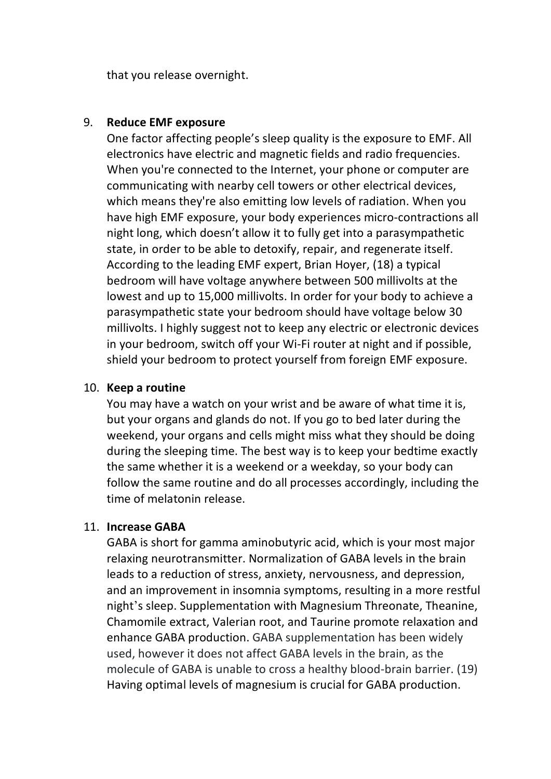that you release overnight.

#### 9. **Reduce EMF exposure**

One factor affecting people's sleep quality is the exposure to EMF. All electronics have electric and magnetic fields and radio frequencies. When you're connected to the Internet, your phone or computer are communicating with nearby cell towers or other electrical devices, which means they're also emitting low levels of radiation. When you have high EMF exposure, your body experiences micro-contractions all night long, which doesn't allow it to fully get into a parasympathetic state, in order to be able to detoxify, repair, and regenerate itself. According to the leading EMF expert, Brian Hoyer, (18) a typical bedroom will have voltage anywhere between 500 millivolts at the lowest and up to 15,000 millivolts. In order for your body to achieve a parasympathetic state your bedroom should have voltage below 30 millivolts. I highly suggest not to keep any electric or electronic devices in your bedroom, switch off your Wi-Fi router at night and if possible, shield your bedroom to protect yourself from foreign EMF exposure.

#### 10. **Keep a routine**

You may have a watch on your wrist and be aware of what time it is, but your organs and glands do not. If you go to bed later during the weekend, your organs and cells might miss what they should be doing during the sleeping time. The best way is to keep your bedtime exactly the same whether it is a weekend or a weekday, so your body can follow the same routine and do all processes accordingly, including the time of melatonin release.

#### 11. **Increase GABA**

GABA is short for gamma aminobutyric acid, which is your most major relaxing neurotransmitter. Normalization of GABA levels in the brain leads to a reduction of stress, anxiety, nervousness, and depression, and an improvement in insomnia symptoms, resulting in a more restful night's sleep. Supplementation with Magnesium Threonate, Theanine, Chamomile extract, Valerian root, and Taurine promote relaxation and enhance GABA production. GABA supplementation has been widely used, however it does not affect GABA levels in the brain, as the molecule of GABA is unable to cross a healthy blood-brain barrier. (19) Having optimal levels of magnesium is crucial for GABA production.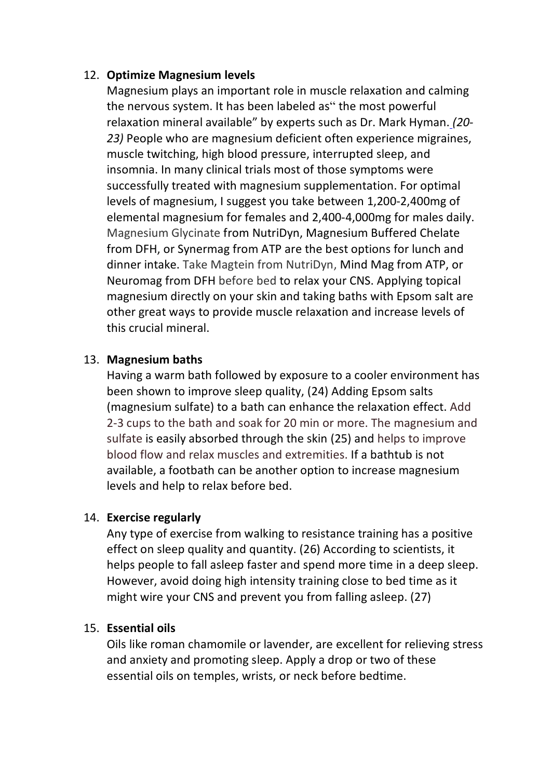#### 12. **Optimize Magnesium levels**

Magnesium plays an important role in muscle relaxation and calming the nervous system. It has been labeled as" the most powerful relaxation mineral available" by experts such as Dr. Mark Hyman. *(20- 23)* People who are magnesium deficient often experience migraines, muscle twitching, high blood pressure, interrupted sleep, and insomnia. In many clinical trials most of those symptoms were successfully treated with magnesium supplementation. For optimal levels of magnesium, I suggest you take between 1,200-2,400mg of elemental magnesium for females and 2,400-4,000mg for males daily. Magnesium Glycinate from NutriDyn, Magnesium Buffered Chelate from DFH, or Synermag from ATP are the best options for lunch and dinner intake. Take Magtein from NutriDyn, Mind Mag from ATP, or Neuromag from DFH before bed to relax your CNS. Applying topical magnesium directly on your skin and taking baths with Epsom salt are other great ways to provide muscle relaxation and increase levels of this crucial mineral.

#### 13. **Magnesium baths**

Having a warm bath followed by exposure to a cooler environment has been shown to improve sleep quality, (24) Adding Epsom salts (magnesium sulfate) to a bath can enhance the relaxation effect. Add 2-3 cups to the bath and soak for 20 min or more. The magnesium and sulfate is easily absorbed through the skin (25) and helps to improve blood flow and relax muscles and extremities. If a bathtub is not available, a footbath can be another option to increase magnesium levels and help to relax before bed.

#### 14. **Exercise regularly**

Any type of exercise from walking to resistance training has a positive effect on sleep quality and quantity. (26) According to scientists, it helps people to fall asleep faster and spend more time in a deep sleep. However, avoid doing high intensity training close to bed time as it might wire your CNS and prevent you from falling asleep. (27)

#### 15. **Essential oils**

Oils like roman chamomile or lavender, are excellent for relieving stress and anxiety and promoting sleep. Apply a drop or two of these essential oils on temples, wrists, or neck before bedtime.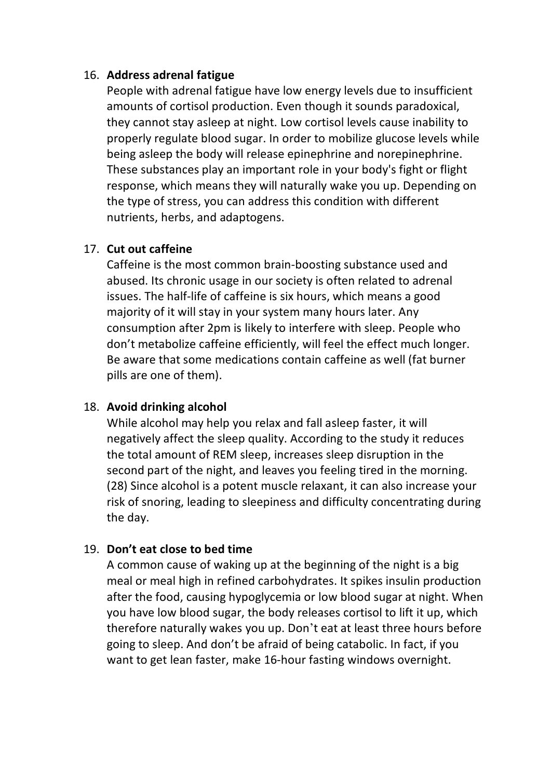#### 16. **Address adrenal fatigue**

People with adrenal fatigue have low energy levels due to insufficient amounts of cortisol production. Even though it sounds paradoxical, they cannot stay asleep at night. Low cortisol levels cause inability to properly regulate blood sugar. In order to mobilize glucose levels while being asleep the body will release epinephrine and norepinephrine. These substances play an important role in your body's fight or flight response, which means they will naturally wake you up. Depending on the type of stress, you can address this condition with different nutrients, herbs, and adaptogens.

#### 17. **Cut out caffeine**

Caffeine is the most common brain-boosting substance used and abused. Its chronic usage in our society is often related to adrenal issues. The half-life of caffeine is six hours, which means a good majority of it will stay in your system many hours later. Any consumption after 2pm is likely to interfere with sleep. People who don't metabolize caffeine efficiently, will feel the effect much longer. Be aware that some medications contain caffeine as well (fat burner pills are one of them).

#### 18. **Avoid drinking alcohol**

While alcohol may help you relax and fall asleep faster, it will negatively affect the sleep quality. According to the study it reduces the total amount of REM sleep, increases sleep disruption in the second part of the night, and leaves you feeling tired in the morning. (28) Since alcohol is a potent muscle relaxant, it can also increase your risk of snoring, leading to sleepiness and difficulty concentrating during the day.

#### 19. **Don't eat close to bed time**

A common cause of waking up at the beginning of the night is a big meal or meal high in refined carbohydrates. It spikes insulin production after the food, causing hypoglycemia or low blood sugar at night. When you have low blood sugar, the body releases cortisol to lift it up, which therefore naturally wakes you up. Don't eat at least three hours before going to sleep. And don't be afraid of being catabolic. In fact, if you want to get lean faster, make 16-hour fasting windows overnight.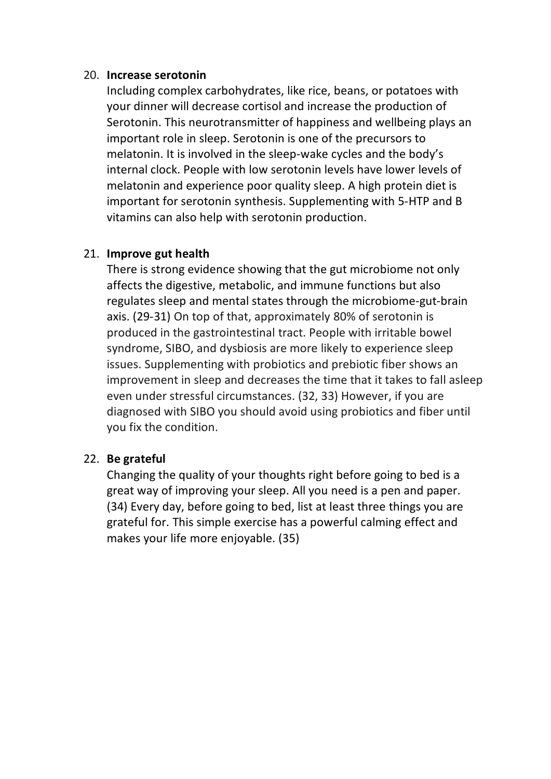#### 20. **Increase serotonin**

Including complex carbohydrates, like rice, beans, or potatoes with your dinner will decrease cortisol and increase the production of Serotonin. This neurotransmitter of happiness and wellbeing plays an important role in sleep. Serotonin is one of the precursors to melatonin. It is involved in the sleep-wake cycles and the body's internal clock. People with low serotonin levels have lower levels of melatonin and experience poor quality sleep. A high protein diet is important for serotonin synthesis. Supplementing with 5-HTP and B vitamins can also help with serotonin production.

#### 21. **Improve gut health**

There is strong evidence showing that the gut microbiome not only affects the digestive, metabolic, and immune functions but also regulates sleep and mental states through the microbiome-gut-brain axis. (29-31) On top of that, approximately 80% of serotonin is produced in the gastrointestinal tract. People with irritable bowel syndrome, SIBO, and dysbiosis are more likely to experience sleep issues. Supplementing with probiotics and prebiotic fiber shows an improvement in sleep and decreases the time that it takes to fall asleep even under stressful circumstances. (32, 33) However, if you are diagnosed with SIBO you should avoid using probiotics and fiber until you fix the condition.

#### 22. **Be grateful**

Changing the quality of your thoughts right before going to bed is a great way of improving your sleep. All you need is a pen and paper. (34) Every day, before going to bed, list at least three things you are grateful for. This simple exercise has a powerful calming effect and makes your life more enjoyable. (35)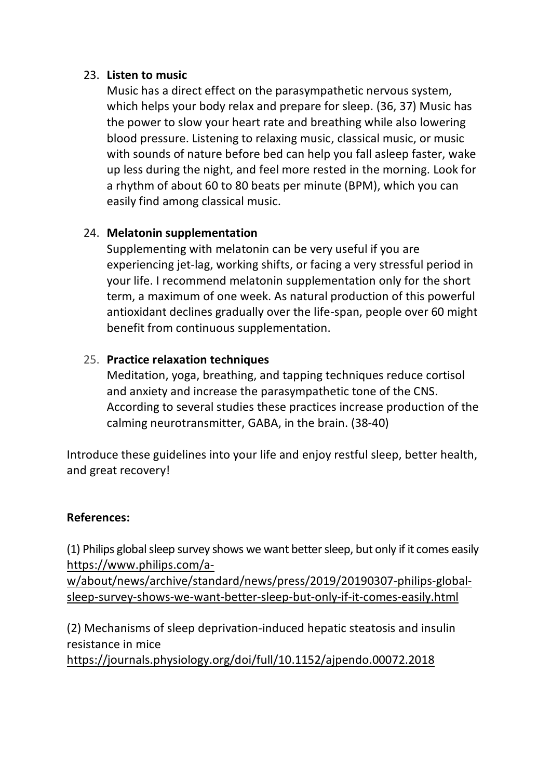#### 23. **Listen to music**

Music has a direct effect on the parasympathetic nervous system, which helps your body relax and prepare for sleep. (36, 37) Music has the power to slow your heart rate and breathing while also lowering blood pressure. Listening to relaxing music, classical music, or music with sounds of nature before bed can help you fall asleep faster, wake up less during the night, and feel more rested in the morning. Look for a rhythm of about 60 to 80 beats per minute (BPM), which you can easily find among classical music.

# 24. **Melatonin supplementation**

Supplementing with melatonin can be very useful if you are experiencing jet-lag, working shifts, or facing a very stressful period in your life. I recommend melatonin supplementation only for the short term, a maximum of one week. As natural production of this powerful antioxidant declines gradually over the life-span, people over 60 might benefit from continuous supplementation.

#### 25. **Practice relaxation techniques**

Meditation, yoga, breathing, and tapping techniques reduce cortisol and anxiety and increase the parasympathetic tone of the CNS. According to several studies these practices increase production of the calming neurotransmitter, GABA, in the brain. (38-40)

Introduce these guidelines into your life and enjoy restful sleep, better health, and great recovery!

## **References:**

(1) Philips global sleep survey shows we want better sleep, but only if it comes easily https://www.philips.com/a-

w/about/news/archive/standard/news/press/2019/20190307-philips-globalsleep-survey-shows-we-want-better-sleep-but-only-if-it-comes-easily.html

(2) Mechanisms of sleep deprivation-induced hepatic steatosis and insulin resistance in mice

https://journals.physiology.org/doi/full/10.1152/ajpendo.00072.2018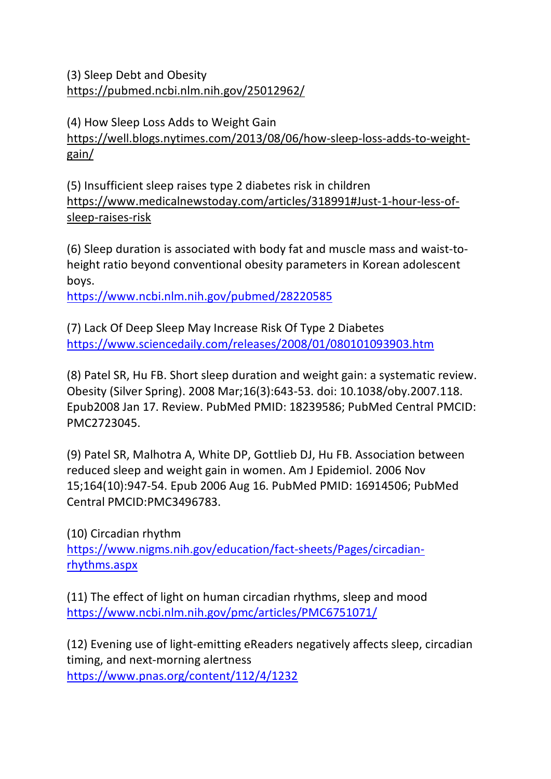(3) Sleep Debt and Obesity https://pubmed.ncbi.nlm.nih.gov/25012962/

(4) How Sleep Loss Adds to Weight Gain https://well.blogs.nytimes.com/2013/08/06/how-sleep-loss-adds-to-weightgain/

(5) Insufficient sleep raises type 2 diabetes risk in children https://www.medicalnewstoday.com/articles/318991#Just-1-hour-less-ofsleep-raises-risk

(6) Sleep duration is associated with body fat and muscle mass and waist-toheight ratio beyond conventional obesity parameters in Korean adolescent boys.

https://www.ncbi.nlm.nih.gov/pubmed/28220585

(7) Lack Of Deep Sleep May Increase Risk Of Type 2 Diabetes https://www.sciencedaily.com/releases/2008/01/080101093903.htm

(8) Patel SR, Hu FB. Short sleep duration and weight gain: a systematic review. Obesity (Silver Spring). 2008 Mar;16(3):643-53. doi: 10.1038/oby.2007.118. Epub2008 Jan 17. Review. PubMed PMID: 18239586; PubMed Central PMCID: PMC2723045.

(9) Patel SR, Malhotra A, White DP, Gottlieb DJ, Hu FB. Association between reduced sleep and weight gain in women. Am J Epidemiol. 2006 Nov 15;164(10):947-54. Epub 2006 Aug 16. PubMed PMID: 16914506; PubMed Central PMCID:PMC3496783.

(10) Circadian rhythm https://www.nigms.nih.gov/education/fact-sheets/Pages/circadianrhythms.aspx

(11) The effect of light on human circadian rhythms, sleep and mood https://www.ncbi.nlm.nih.gov/pmc/articles/PMC6751071/

(12) Evening use of light-emitting eReaders negatively affects sleep, circadian timing, and next-morning alertness https://www.pnas.org/content/112/4/1232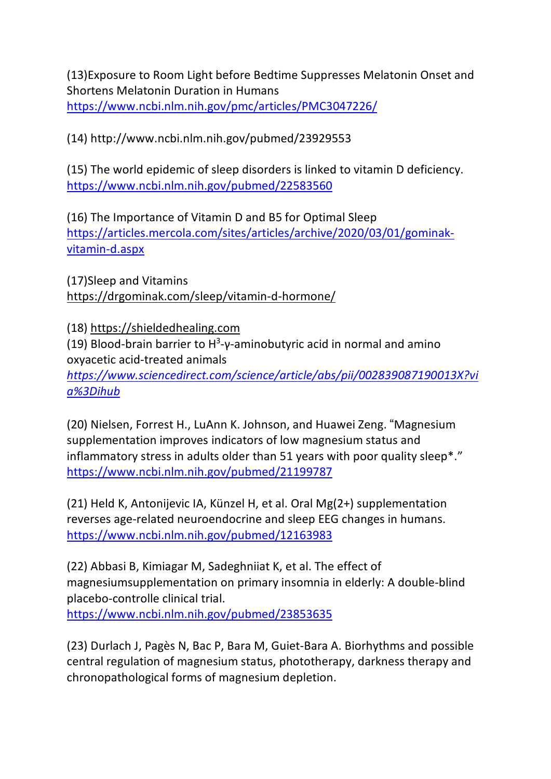(13)Exposure to Room Light before Bedtime Suppresses Melatonin Onset and Shortens Melatonin Duration in Humans https://www.ncbi.nlm.nih.gov/pmc/articles/PMC3047226/

(14) http://www.ncbi.nlm.nih.gov/pubmed/23929553

(15) The world epidemic of sleep disorders is linked to vitamin D deficiency. https://www.ncbi.nlm.nih.gov/pubmed/22583560

(16) The Importance of Vitamin D and B5 for Optimal Sleep https://articles.mercola.com/sites/articles/archive/2020/03/01/gominakvitamin-d.aspx

(17)Sleep and Vitamins https://drgominak.com/sleep/vitamin-d-hormone/

(18) https://shieldedhealing.com

(19) Blood-brain barrier to  $H^3$ - $\gamma$ -aminobutyric acid in normal and amino oxyacetic acid-treated animals

*https://www.sciencedirect.com/science/article/abs/pii/002839087190013X?vi a%3Dihub*

(20) Nielsen, Forrest H., LuAnn K. Johnson, and Huawei Zeng. "Magnesium supplementation improves indicators of low magnesium status and inflammatory stress in adults older than 51 years with poor quality sleep\*." https://www.ncbi.nlm.nih.gov/pubmed/21199787

(21) Held K, Antonijevic IA, Künzel H, et al. Oral Mg(2+) supplementation reverses age-related neuroendocrine and sleep EEG changes in humans. https://www.ncbi.nlm.nih.gov/pubmed/12163983

(22) Abbasi B, Kimiagar M, Sadeghniiat K, et al. The effect of magnesiumsupplementation on primary insomnia in elderly: A double-blind placebo-controlle clinical trial. https://www.ncbi.nlm.nih.gov/pubmed/23853635

(23) Durlach J, Pagès N, Bac P, Bara M, Guiet-Bara A. Biorhythms and possible central regulation of magnesium status, phototherapy, darkness therapy and chronopathological forms of magnesium depletion.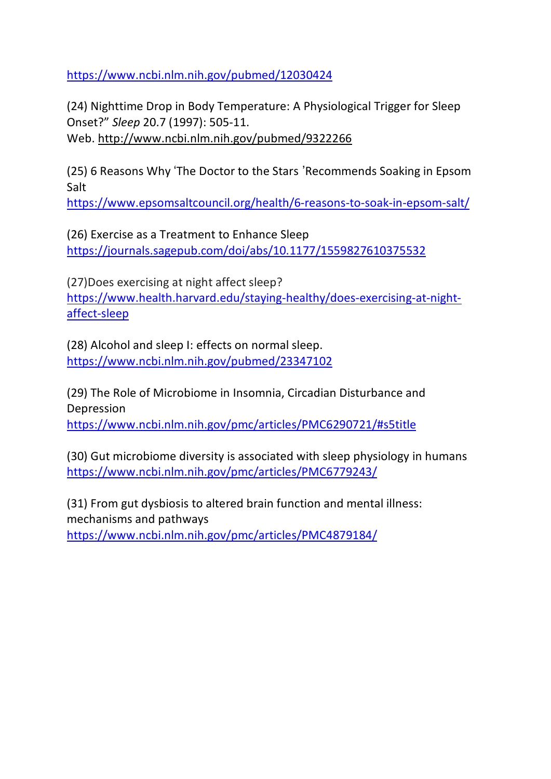https://www.ncbi.nlm.nih.gov/pubmed/12030424

(24) Nighttime Drop in Body Temperature: A Physiological Trigger for Sleep Onset?" *Sleep* 20.7 (1997): 505-11. Web. http://www.ncbi.nlm.nih.gov/pubmed/9322266

(25) 6 Reasons Why 'The Doctor to the Stars ' Recommends Soaking in Epsom Salt

https://www.epsomsaltcouncil.org/health/6-reasons-to-soak-in-epsom-salt/

(26) Exercise as a Treatment to Enhance Sleep https://journals.sagepub.com/doi/abs/10.1177/1559827610375532

(27)Does exercising at night affect sleep? https://www.health.harvard.edu/staying-healthy/does-exercising-at-nightaffect-sleep

(28) Alcohol and sleep I: effects on normal sleep. https://www.ncbi.nlm.nih.gov/pubmed/23347102

(29) The Role of Microbiome in Insomnia, Circadian Disturbance and Depression https://www.ncbi.nlm.nih.gov/pmc/articles/PMC6290721/#s5title

(30) Gut microbiome diversity is associated with sleep physiology in humans https://www.ncbi.nlm.nih.gov/pmc/articles/PMC6779243/

(31) From gut dysbiosis to altered brain function and mental illness: mechanisms and pathways https://www.ncbi.nlm.nih.gov/pmc/articles/PMC4879184/